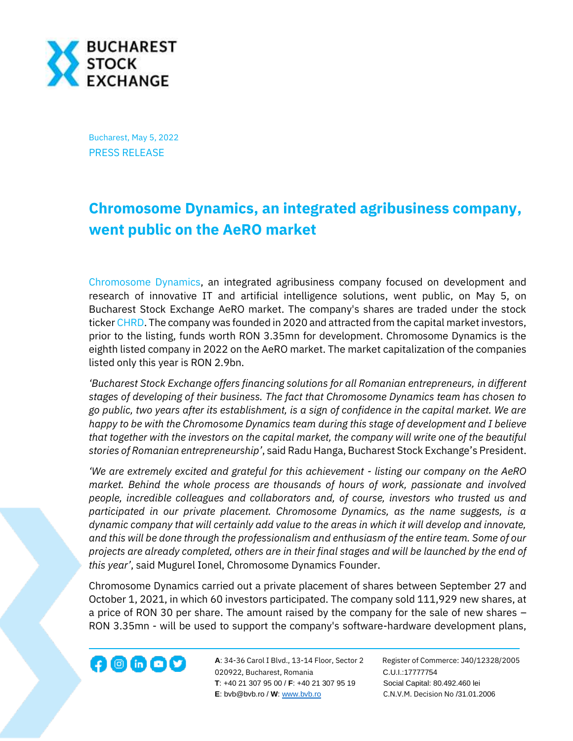

Bucharest, May 5, 2022 PRESS RELEASE

## **Chromosome Dynamics, an integrated agribusiness company, went public on the AeRO market**

[Chromosome Dynamics,](https://chromosome-dynamics.com/) an integrated agribusiness company focused on development and research of innovative IT and artificial intelligence solutions, went public, on May 5, on Bucharest Stock Exchange AeRO market. The company's shares are traded under the stock ticker [CHRD.](https://bvb.ro/FinancialInstruments/Details/FinancialInstrumentsDetails.aspx?s=CHRD) The company was founded in 2020 and attracted from the capital market investors, prior to the listing, funds worth RON 3.35mn for development. Chromosome Dynamics is the eighth listed company in 2022 on the AeRO market. The market capitalization of the companies listed only this year is RON 2.9bn.

*'Bucharest Stock Exchange offers financing solutions for all Romanian entrepreneurs, in different stages of developing of their business. The fact that Chromosome Dynamics team has chosen to go public, two years after its establishment, is a sign of confidence in the capital market. We are happy to be with the Chromosome Dynamics team during this stage of development and I believe that together with the investors on the capital market, the company will write one of the beautiful stories of Romanian entrepreneurship'*, said Radu Hanga, Bucharest Stock Exchange's President.

*'We are extremely excited and grateful for this achievement - listing our company on the AeRO market. Behind the whole process are thousands of hours of work, passionate and involved people, incredible colleagues and collaborators and, of course, investors who trusted us and participated in our private placement. Chromosome Dynamics, as the name suggests, is a dynamic company that will certainly add value to the areas in which it will develop and innovate, and this will be done through the professionalism and enthusiasm of the entire team. Some of our projects are already completed, others are in their final stages and will be launched by the end of this year'*, said Mugurel Ionel, Chromosome Dynamics Founder.

Chromosome Dynamics carried out a private placement of shares between September 27 and October 1, 2021, in which 60 investors participated. The company sold 111,929 new shares, at a price of RON 30 per share. The amount raised by the company for the sale of new shares – RON 3.35mn - will be used to support the company's software-hardware development plans,



**A**: 34-36 Carol I Blvd., 13-14 Floor, Sector 2 Register of Commerce: J40/12328/2005 020922, Bucharest, Romania C.U.I.:17777754  **T**: +40 21 307 95 00 / **F**: +40 21 307 95 19 Social Capital: 80.492.460 lei **E**: bvb@bvb.ro / **W**[: www.bvb.ro](http://www.bvb.ro/) C.N.V.M. Decision No /31.01.2006